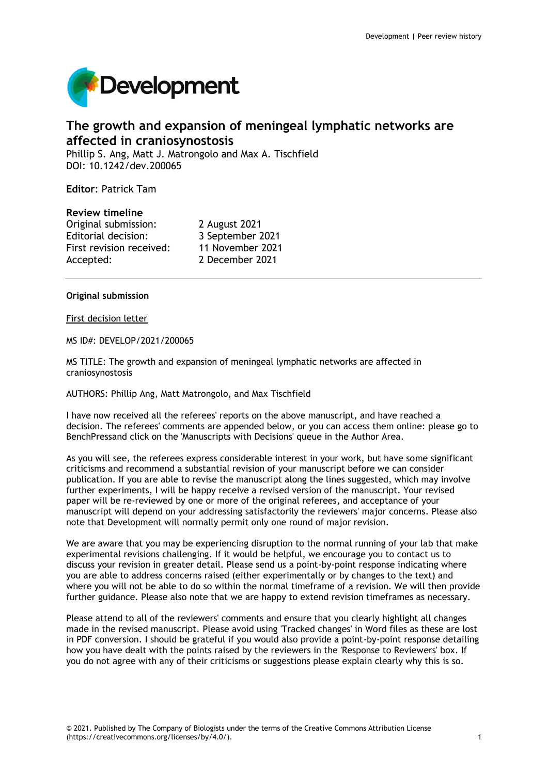

# **The growth and expansion of meningeal lymphatic networks are affected in craniosynostosis**

Phillip S. Ang, Matt J. Matrongolo and Max A. Tischfield DOI: 10.1242/dev.200065

**Editor**: Patrick Tam

### **Review timeline**

Original submission: 2 August 2021 Editorial decision: 3 September 2021 First revision received: 11 November 2021 Accepted: 2 December 2021

### **Original submission**

First decision letter

MS ID#: DEVELOP/2021/200065

MS TITLE: The growth and expansion of meningeal lymphatic networks are affected in craniosynostosis

AUTHORS: Phillip Ang, Matt Matrongolo, and Max Tischfield

I have now received all the referees' reports on the above manuscript, and have reached a decision. The referees' comments are appended below, or you can access them online: please go to BenchPressand click on the 'Manuscripts with Decisions' queue in the Author Area.

As you will see, the referees express considerable interest in your work, but have some significant criticisms and recommend a substantial revision of your manuscript before we can consider publication. If you are able to revise the manuscript along the lines suggested, which may involve further experiments, I will be happy receive a revised version of the manuscript. Your revised paper will be re-reviewed by one or more of the original referees, and acceptance of your manuscript will depend on your addressing satisfactorily the reviewers' major concerns. Please also note that Development will normally permit only one round of major revision.

We are aware that you may be experiencing disruption to the normal running of your lab that make experimental revisions challenging. If it would be helpful, we encourage you to contact us to discuss your revision in greater detail. Please send us a point-by-point response indicating where you are able to address concerns raised (either experimentally or by changes to the text) and where you will not be able to do so within the normal timeframe of a revision. We will then provide further guidance. Please also note that we are happy to extend revision timeframes as necessary.

Please attend to all of the reviewers' comments and ensure that you clearly highlight all changes made in the revised manuscript. Please avoid using 'Tracked changes' in Word files as these are lost in PDF conversion. I should be grateful if you would also provide a point-by-point response detailing how you have dealt with the points raised by the reviewers in the 'Response to Reviewers' box. If you do not agree with any of their criticisms or suggestions please explain clearly why this is so.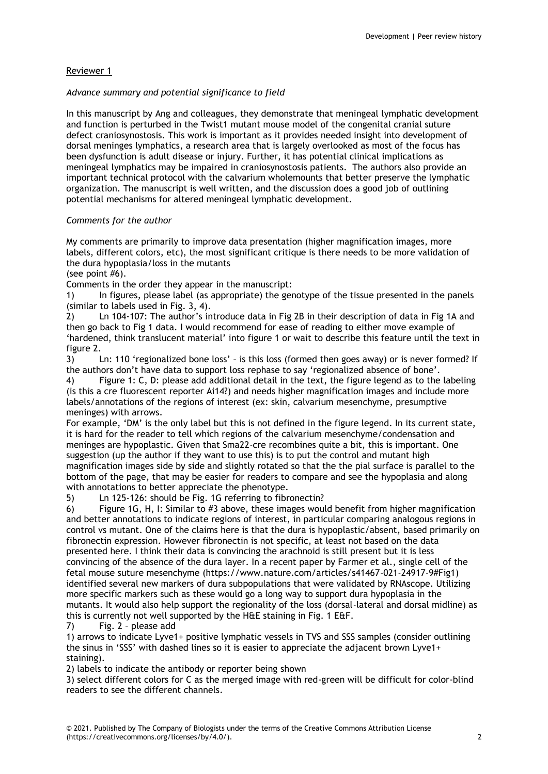# Reviewer 1

# *Advance summary and potential significance to field*

In this manuscript by Ang and colleagues, they demonstrate that meningeal lymphatic development and function is perturbed in the Twist1 mutant mouse model of the congenital cranial suture defect craniosynostosis. This work is important as it provides needed insight into development of dorsal meninges lymphatics, a research area that is largely overlooked as most of the focus has been dysfunction is adult disease or injury. Further, it has potential clinical implications as meningeal lymphatics may be impaired in craniosynostosis patients. The authors also provide an important technical protocol with the calvarium wholemounts that better preserve the lymphatic organization. The manuscript is well written, and the discussion does a good job of outlining potential mechanisms for altered meningeal lymphatic development.

# *Comments for the author*

My comments are primarily to improve data presentation (higher magnification images, more labels, different colors, etc), the most significant critique is there needs to be more validation of the dura hypoplasia/loss in the mutants

(see point #6).

Comments in the order they appear in the manuscript:

1) In figures, please label (as appropriate) the genotype of the tissue presented in the panels (similar to labels used in Fig. 3, 4).

2) Ln 104-107: The author's introduce data in Fig 2B in their description of data in Fig 1A and then go back to Fig 1 data. I would recommend for ease of reading to either move example of 'hardened, think translucent material' into figure 1 or wait to describe this feature until the text in figure 2.

3) Ln: 110 'regionalized bone loss' – is this loss (formed then goes away) or is never formed? If the authors don't have data to support loss rephase to say 'regionalized absence of bone'.

4) Figure 1: C, D: please add additional detail in the text, the figure legend as to the labeling (is this a cre fluorescent reporter Ai14?) and needs higher magnification images and include more labels/annotations of the regions of interest (ex: skin, calvarium mesenchyme, presumptive meninges) with arrows.

For example, 'DM' is the only label but this is not defined in the figure legend. In its current state, it is hard for the reader to tell which regions of the calvarium mesenchyme/condensation and meninges are hypoplastic. Given that Sma22-cre recombines quite a bit, this is important. One suggestion (up the author if they want to use this) is to put the control and mutant high magnification images side by side and slightly rotated so that the the pial surface is parallel to the bottom of the page, that may be easier for readers to compare and see the hypoplasia and along with annotations to better appreciate the phenotype.

5) Ln 125-126: should be Fig. 1G referring to fibronectin?

6) Figure 1G, H, I: Similar to #3 above, these images would benefit from higher magnification and better annotations to indicate regions of interest, in particular comparing analogous regions in control vs mutant. One of the claims here is that the dura is hypoplastic/absent, based primarily on fibronectin expression. However fibronectin is not specific, at least not based on the data presented here. I think their data is convincing the arachnoid is still present but it is less convincing of the absence of the dura layer. In a recent paper by Farmer et al., single cell of the fetal mouse suture mesenchyme (https://www.nature.com/articles/s41467-021-24917-9#Fig1) identified several new markers of dura subpopulations that were validated by RNAscope. Utilizing more specific markers such as these would go a long way to support dura hypoplasia in the mutants. It would also help support the regionality of the loss (dorsal-lateral and dorsal midline) as this is currently not well supported by the H&E staining in Fig. 1 E&F.

7) Fig. 2 – please add

1) arrows to indicate Lyve1+ positive lymphatic vessels in TVS and SSS samples (consider outlining the sinus in 'SSS' with dashed lines so it is easier to appreciate the adjacent brown Lyve1+ staining).

2) labels to indicate the antibody or reporter being shown

3) select different colors for C as the merged image with red-green will be difficult for color-blind readers to see the different channels.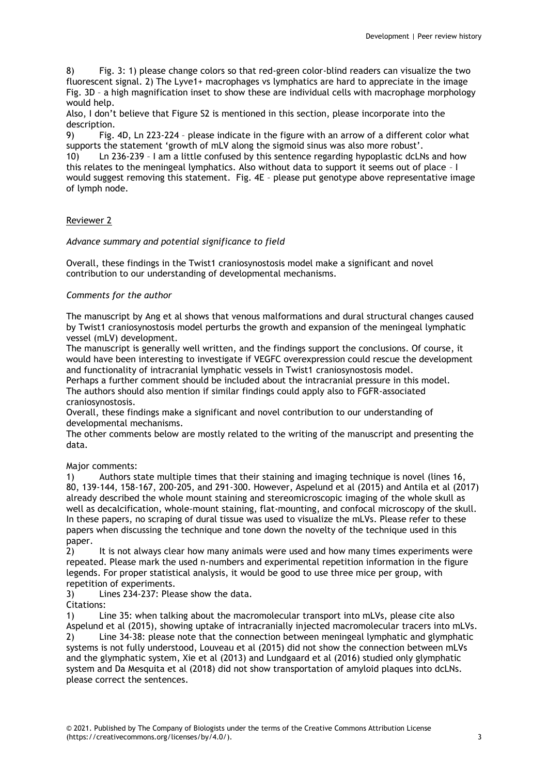8) Fig. 3: 1) please change colors so that red-green color-blind readers can visualize the two fluorescent signal. 2) The Lyve1+ macrophages vs lymphatics are hard to appreciate in the image Fig. 3D – a high magnification inset to show these are individual cells with macrophage morphology would help.

Also, I don't believe that Figure S2 is mentioned in this section, please incorporate into the description.

9) Fig. 4D, Ln 223-224 – please indicate in the figure with an arrow of a different color what supports the statement 'growth of mLV along the sigmoid sinus was also more robust'.

10) Ln 236-239 – I am a little confused by this sentence regarding hypoplastic dcLNs and how this relates to the meningeal lymphatics. Also without data to support it seems out of place – I would suggest removing this statement. Fig. 4E – please put genotype above representative image of lymph node.

### Reviewer 2

### *Advance summary and potential significance to field*

Overall, these findings in the Twist1 craniosynostosis model make a significant and novel contribution to our understanding of developmental mechanisms.

#### *Comments for the author*

The manuscript by Ang et al shows that venous malformations and dural structural changes caused by Twist1 craniosynostosis model perturbs the growth and expansion of the meningeal lymphatic vessel (mLV) development.

The manuscript is generally well written, and the findings support the conclusions. Of course, it would have been interesting to investigate if VEGFC overexpression could rescue the development and functionality of intracranial lymphatic vessels in Twist1 craniosynostosis model.

Perhaps a further comment should be included about the intracranial pressure in this model. The authors should also mention if similar findings could apply also to FGFR-associated craniosynostosis.

Overall, these findings make a significant and novel contribution to our understanding of developmental mechanisms.

The other comments below are mostly related to the writing of the manuscript and presenting the data.

#### Major comments:

1) Authors state multiple times that their staining and imaging technique is novel (lines 16, 80, 139-144, 158-167, 200-205, and 291-300. However, Aspelund et al (2015) and Antila et al (2017) already described the whole mount staining and stereomicroscopic imaging of the whole skull as well as decalcification, whole-mount staining, flat-mounting, and confocal microscopy of the skull. In these papers, no scraping of dural tissue was used to visualize the mLVs. Please refer to these papers when discussing the technique and tone down the novelty of the technique used in this paper.

2) It is not always clear how many animals were used and how many times experiments were repeated. Please mark the used n-numbers and experimental repetition information in the figure legends. For proper statistical analysis, it would be good to use three mice per group, with repetition of experiments.

3) Lines 234-237: Please show the data.

Citations:

1) Line 35: when talking about the macromolecular transport into mLVs, please cite also Aspelund et al (2015), showing uptake of intracranially injected macromolecular tracers into mLVs.

2) Line 34-38: please note that the connection between meningeal lymphatic and glymphatic systems is not fully understood, Louveau et al (2015) did not show the connection between mLVs and the glymphatic system, Xie et al (2013) and Lundgaard et al (2016) studied only glymphatic system and Da Mesquita et al (2018) did not show transportation of amyloid plaques into dcLNs. please correct the sentences.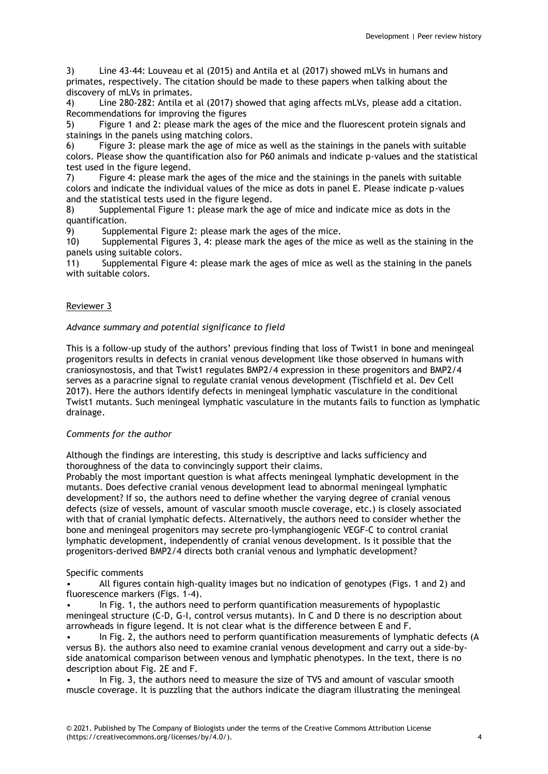3) Line 43-44: Louveau et al (2015) and Antila et al (2017) showed mLVs in humans and primates, respectively. The citation should be made to these papers when talking about the discovery of mLVs in primates.

4) Line 280-282: Antila et al (2017) showed that aging affects mLVs, please add a citation. Recommendations for improving the figures

5) Figure 1 and 2: please mark the ages of the mice and the fluorescent protein signals and stainings in the panels using matching colors.

6) Figure 3: please mark the age of mice as well as the stainings in the panels with suitable colors. Please show the quantification also for P60 animals and indicate p-values and the statistical test used in the figure legend.

7) Figure 4: please mark the ages of the mice and the stainings in the panels with suitable colors and indicate the individual values of the mice as dots in panel E. Please indicate p-values and the statistical tests used in the figure legend.

8) Supplemental Figure 1: please mark the age of mice and indicate mice as dots in the quantification.

9) Supplemental Figure 2: please mark the ages of the mice.

10) Supplemental Figures 3, 4: please mark the ages of the mice as well as the staining in the panels using suitable colors.

11) Supplemental Figure 4: please mark the ages of mice as well as the staining in the panels with suitable colors.

### Reviewer 3

### *Advance summary and potential significance to field*

This is a follow-up study of the authors' previous finding that loss of Twist1 in bone and meningeal progenitors results in defects in cranial venous development like those observed in humans with craniosynostosis, and that Twist1 regulates BMP2/4 expression in these progenitors and BMP2/4 serves as a paracrine signal to regulate cranial venous development (Tischfield et al. Dev Cell 2017). Here the authors identify defects in meningeal lymphatic vasculature in the conditional Twist1 mutants. Such meningeal lymphatic vasculature in the mutants fails to function as lymphatic drainage.

#### *Comments for the author*

Although the findings are interesting, this study is descriptive and lacks sufficiency and thoroughness of the data to convincingly support their claims.

Probably the most important question is what affects meningeal lymphatic development in the mutants. Does defective cranial venous development lead to abnormal meningeal lymphatic development? If so, the authors need to define whether the varying degree of cranial venous defects (size of vessels, amount of vascular smooth muscle coverage, etc.) is closely associated with that of cranial lymphatic defects. Alternatively, the authors need to consider whether the bone and meningeal progenitors may secrete pro-lymphangiogenic VEGF-C to control cranial lymphatic development, independently of cranial venous development. Is it possible that the progenitors-derived BMP2/4 directs both cranial venous and lymphatic development?

#### Specific comments

• All figures contain high-quality images but no indication of genotypes (Figs. 1 and 2) and fluorescence markers (Figs. 1-4).

• In Fig. 1, the authors need to perform quantification measurements of hypoplastic meningeal structure (C-D, G-I, control versus mutants). In C and D there is no description about arrowheads in figure legend. It is not clear what is the difference between E and F.

• In Fig. 2, the authors need to perform quantification measurements of lymphatic defects (A versus B). the authors also need to examine cranial venous development and carry out a side-byside anatomical comparison between venous and lymphatic phenotypes. In the text, there is no description about Fig. 2E and F.

• In Fig. 3, the authors need to measure the size of TVS and amount of vascular smooth muscle coverage. It is puzzling that the authors indicate the diagram illustrating the meningeal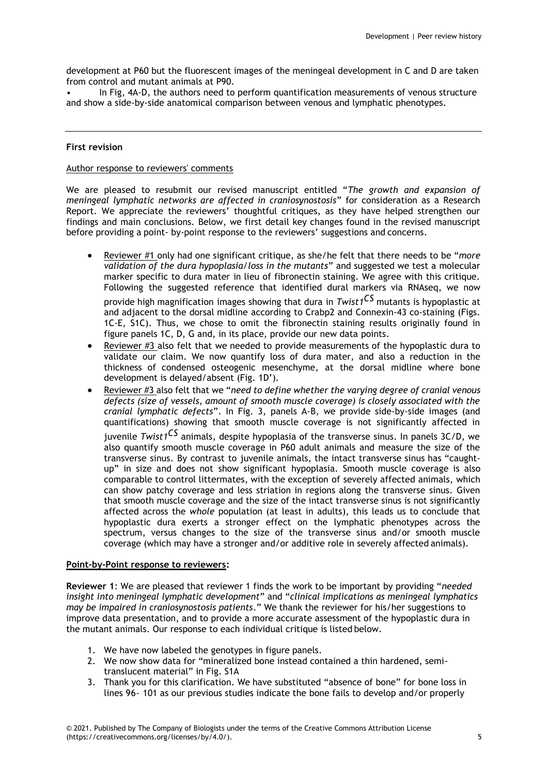development at P60 but the fluorescent images of the meningeal development in C and D are taken from control and mutant animals at P90.

• In Fig, 4A-D, the authors need to perform quantification measurements of venous structure and show a side-by-side anatomical comparison between venous and lymphatic phenotypes.

#### **First revision**

#### Author response to reviewers' comments

We are pleased to resubmit our revised manuscript entitled "*The growth and expansion of meningeal lymphatic networks are affected in craniosynostosis*" for consideration as a Research Report. We appreciate the reviewers' thoughtful critiques, as they have helped strengthen our findings and main conclusions. Below, we first detail key changes found in the revised manuscript before providing a point- by-point response to the reviewers' suggestions and concerns.

- Reviewer #1 only had one significant critique, as she/he felt that there needs to be "*more validation of the dura hypoplasia/loss in the mutants*" and suggested we test a molecular marker specific to dura mater in lieu of fibronectin staining. We agree with this critique. Following the suggested reference that identified dural markers via RNAseq, we now provide high magnification images showing that dura in *Twist1CS* mutants is hypoplastic at and adjacent to the dorsal midline according to Crabp2 and Connexin-43 co-staining (Figs. 1C-E, S1C). Thus, we chose to omit the fibronectin staining results originally found in figure panels 1C, D, G and, in its place, provide our new data points.
- Reviewer #3 also felt that we needed to provide measurements of the hypoplastic dura to validate our claim. We now quantify loss of dura mater, and also a reduction in the thickness of condensed osteogenic mesenchyme, at the dorsal midline where bone development is delayed/absent (Fig. 1D').
- Reviewer #3 also felt that we "*need to define whether the varying degree of cranial venous defects (size of vessels, amount of smooth muscle coverage) is closely associated with the cranial lymphatic defects*". In Fig. 3, panels A-B, we provide side-by-side images (and quantifications) showing that smooth muscle coverage is not significantly affected in juvenile *Twist1CS* animals, despite hypoplasia of the transverse sinus. In panels 3C/D, we also quantify smooth muscle coverage in P60 adult animals and measure the size of the transverse sinus. By contrast to juvenile animals, the intact transverse sinus has "caughtup" in size and does not show significant hypoplasia. Smooth muscle coverage is also comparable to control littermates, with the exception of severely affected animals, which can show patchy coverage and less striation in regions along the transverse sinus. Given that smooth muscle coverage and the size of the intact transverse sinus is not significantly affected across the *whole* population (at least in adults), this leads us to conclude that hypoplastic dura exerts a stronger effect on the lymphatic phenotypes across the spectrum, versus changes to the size of the transverse sinus and/or smooth muscle coverage (which may have a stronger and/or additive role in severely affected animals).

#### **Point-by-Point response to reviewers:**

**Reviewer 1**: We are pleased that reviewer 1 finds the work to be important by providing "*needed insight into meningeal lymphatic development*" and "*clinical implications as meningeal lymphatics may be impaired in craniosynostosis patients*." We thank the reviewer for his/her suggestions to improve data presentation, and to provide a more accurate assessment of the hypoplastic dura in the mutant animals. Our response to each individual critique is listed below.

- 1. We have now labeled the genotypes in figure panels.
- 2. We now show data for "mineralized bone instead contained a thin hardened, semitranslucent material" in Fig. S1A
- 3. Thank you for this clarification. We have substituted "absence of bone" for bone loss in lines 96- 101 as our previous studies indicate the bone fails to develop and/or properly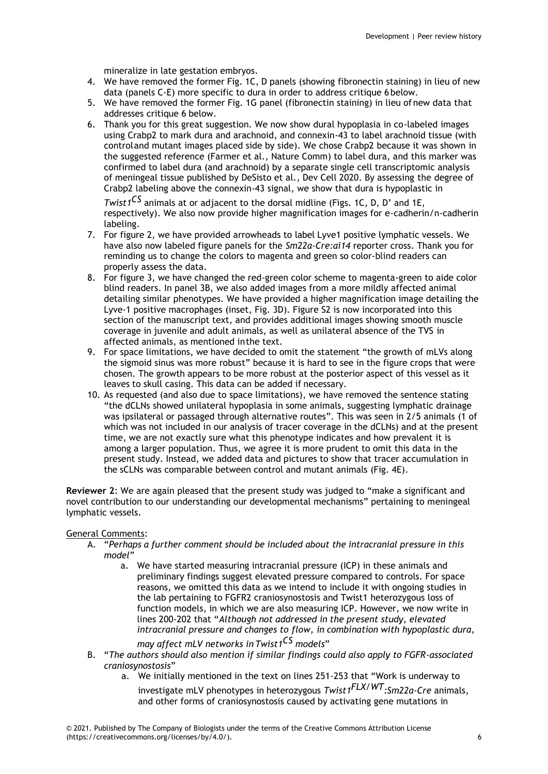mineralize in late gestation embryos.

- 4. We have removed the former Fig. 1C, D panels (showing fibronectin staining) in lieu of new data (panels C-E) more specific to dura in order to address critique 6 below.
- 5. We have removed the former Fig. 1G panel (fibronectin staining) in lieu ofnew data that addresses critique 6 below.
- 6. Thank you for this great suggestion. We now show dural hypoplasia in co-labeled images using Crabp2 to mark dura and arachnoid, and connexin-43 to label arachnoid tissue (with controland mutant images placed side by side). We chose Crabp2 because it was shown in the suggested reference (Farmer et al., Nature Comm) to label dura, and this marker was confirmed to label dura (and arachnoid) by a separate single cell transcriptomic analysis of meningeal tissue published by DeSisto et al., Dev Cell 2020. By assessing the degree of Crabp2 labeling above the connexin-43 signal, we show that dura is hypoplastic in

*Twist1CS* animals at or adjacent to the dorsal midline (Figs. 1C, D, D' and 1E, respectively). We also now provide higher magnification images for e-cadherin/n-cadherin labeling.

- 7. For figure 2, we have provided arrowheads to label Lyve1 positive lymphatic vessels. We have also now labeled figure panels for the *Sm22a-Cre:ai14* reporter cross. Thank you for reminding us to change the colors to magenta and green so color-blind readers can properly assess the data.
- 8. For figure 3, we have changed the red-green color scheme to magenta-green to aide color blind readers. In panel 3B, we also added images from a more mildly affected animal detailing similar phenotypes. We have provided a higher magnification image detailing the Lyve-1 positive macrophages (inset, Fig. 3D). Figure S2 is now incorporated into this section of the manuscript text, and provides additional images showing smooth muscle coverage in juvenile and adult animals, as well as unilateral absence of the TVS in affected animals, as mentioned inthe text.
- 9. For space limitations, we have decided to omit the statement "the growth of mLVs along the sigmoid sinus was more robust" because it is hard to see in the figure crops that were chosen. The growth appears to be more robust at the posterior aspect of this vessel as it leaves to skull casing. This data can be added if necessary.
- 10. As requested (and also due to space limitations), we have removed the sentence stating "the dCLNs showed unilateral hypoplasia in some animals, suggesting lymphatic drainage was ipsilateral or passaged through alternative routes". This was seen in 2/5 animals (1 of which was not included in our analysis of tracer coverage in the dCLNs) and at the present time, we are not exactly sure what this phenotype indicates and how prevalent it is among a larger population. Thus, we agree it is more prudent to omit this data in the present study. Instead, we added data and pictures to show that tracer accumulation in the sCLNs was comparable between control and mutant animals (Fig. 4E).

**Reviewer 2**: We are again pleased that the present study was judged to "make a significant and novel contribution to our understanding our developmental mechanisms" pertaining to meningeal lymphatic vessels.

#### General Comments:

- A. "*Perhaps a further comment should be included about the intracranial pressure in this model*"
	- a. We have started measuring intracranial pressure (ICP) in these animals and preliminary findings suggest elevated pressure compared to controls. For space reasons, we omitted this data as we intend to include it with ongoing studies in the lab pertaining to FGFR2 craniosynostosis and Twist1 heterozygous loss of function models, in which we are also measuring ICP. However, we now write in lines 200-202 that "*Although not addressed in the present study, elevated intracranial pressure and changes to flow, in combination with hypoplastic dura,*

# *may affect mLV networks in Twist1CS models*"

- B. "*The authors should also mention if similar findings could also apply to FGFR-associated craniosynostosis*"
	- a. We initially mentioned in the text on lines 251-253 that "Work is underway to
		- investigate mLV phenotypes in heterozygous *Twist1FLX/WT:Sm22a-Cre* animals, and other forms of craniosynostosis caused by activating gene mutations in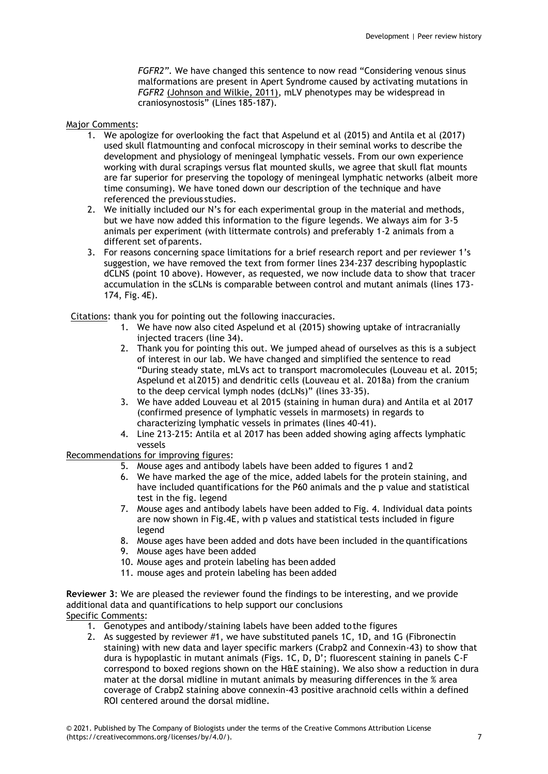*FGFR2".* We have changed this sentence to now read "Considering venous sinus malformations are present in Apert Syndrome caused by activating mutations in *FGFR2* [\(Johnson and Wilkie, 2011\),](https://paperpile.com/c/qtLg87/FcLj) mLV phenotypes may be widespread in craniosynostosis" (Lines 185-187).

#### Major Comments:

- 1. We apologize for overlooking the fact that Aspelund et al (2015) and Antila et al (2017) used skull flatmounting and confocal microscopy in their seminal works to describe the development and physiology of meningeal lymphatic vessels. From our own experience working with dural scrapings versus flat mounted skulls, we agree that skull flat mounts are far superior for preserving the topology of meningeal lymphatic networks (albeit more time consuming). We have toned down our description of the technique and have referenced the previous studies.
- 2. We initially included our N's for each experimental group in the material and methods, but we have now added this information to the figure legends. We always aim for 3-5 animals per experiment (with littermate controls) and preferably 1-2 animals from a different set of parents.
- 3. For reasons concerning space limitations for a brief research report and per reviewer 1's suggestion, we have removed the text from former lines 234-237 describing hypoplastic dCLNS (point 10 above). However, as requested, we now include data to show that tracer accumulation in the sCLNs is comparable between control and mutant animals (lines 173- 174, Fig. 4E).

Citations: thank you for pointing out the following inaccuracies.

- 1. We have now also cited Aspelund et al (2015) showing uptake of intracranially injected tracers (line 34).
- 2. Thank you for pointing this out. We jumped ahead of ourselves as this is a subject of interest in our lab. We have changed and simplified the sentence to read "During steady state, mLVs act to transport macromolecules (Louveau et al. 2015; Aspelund et al2015) and dendritic cells (Louveau et al. 2018a) from the cranium to the deep cervical lymph nodes (dcLNs)" (lines 33-35).
- 3. We have added Louveau et al 2015 (staining in human dura) and Antila et al 2017 (confirmed presence of lymphatic vessels in marmosets) in regards to characterizing lymphatic vessels in primates (lines 40-41).
- 4. Line 213-215: Antila et al 2017 has been added showing aging affects lymphatic vessels

Recommendations for improving figures:

- 5. Mouse ages and antibody labels have been added to figures 1 and 2
- 6. We have marked the age of the mice, added labels for the protein staining, and have included quantifications for the P60 animals and the p value and statistical test in the fig. legend
- 7. Mouse ages and antibody labels have been added to Fig. 4. Individual data points are now shown in Fig.4E, with p values and statistical tests included in figure legend
- 8. Mouse ages have been added and dots have been included in the quantifications
- 9. Mouse ages have been added
- 10. Mouse ages and protein labeling has been added
- 11. mouse ages and protein labeling has been added

**Reviewer 3**: We are pleased the reviewer found the findings to be interesting, and we provide additional data and quantifications to help support our conclusions Specific Comments:

- 1. Genotypes and antibody/staining labels have been added tothe figures
- 2. As suggested by reviewer #1, we have substituted panels 1C, 1D, and 1G (Fibronectin staining) with new data and layer specific markers (Crabp2 and Connexin-43) to show that dura is hypoplastic in mutant animals (Figs. 1C, D, D'; fluorescent staining in panels C-F correspond to boxed regions shown on the H&E staining). We also show a reduction in dura mater at the dorsal midline in mutant animals by measuring differences in the % area coverage of Crabp2 staining above connexin-43 positive arachnoid cells within a defined ROI centered around the dorsal midline.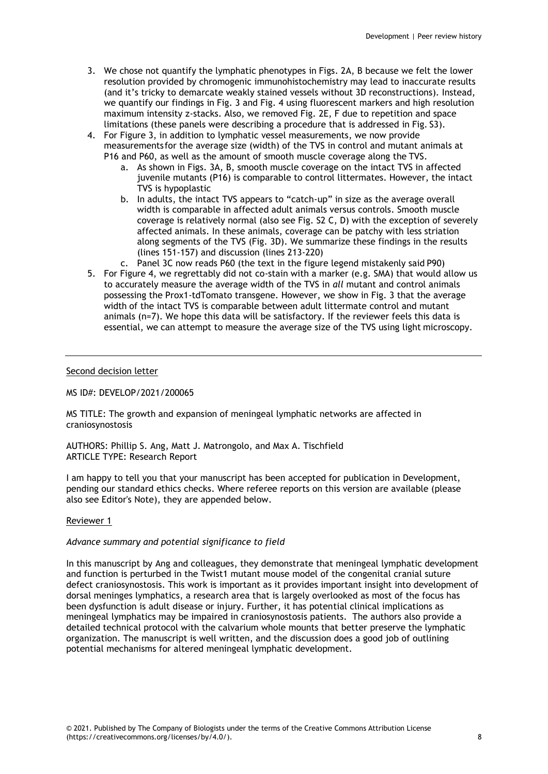- 3. We chose not quantify the lymphatic phenotypes in Figs. 2A, B because we felt the lower resolution provided by chromogenic immunohistochemistry may lead to inaccurate results (and it's tricky to demarcate weakly stained vessels without 3D reconstructions). Instead, we quantify our findings in Fig. 3 and Fig. 4 using fluorescent markers and high resolution maximum intensity z-stacks. Also, we removed Fig. 2E, F due to repetition and space limitations (these panels were describing a procedure that is addressed in Fig. S3).
- 4. For Figure 3, in addition to lymphatic vessel measurements, we now provide measurementsfor the average size (width) of the TVS in control and mutant animals at P16 and P60, as well as the amount of smooth muscle coverage along the TVS.
	- a. As shown in Figs. 3A, B, smooth muscle coverage on the intact TVS in affected juvenile mutants (P16) is comparable to control littermates. However, the intact TVS is hypoplastic
	- b. In adults, the intact TVS appears to "catch-up" in size as the average overall width is comparable in affected adult animals versus controls. Smooth muscle coverage is relatively normal (also see Fig. S2 C, D) with the exception of severely affected animals. In these animals, coverage can be patchy with less striation along segments of the TVS (Fig. 3D). We summarize these findings in the results (lines 151-157) and discussion (lines 213-220)
	- c. Panel 3C now reads P60 (the text in the figure legend mistakenly said P90)
- 5. For Figure 4, we regrettably did not co-stain with a marker (e.g. SMA) that would allow us to accurately measure the average width of the TVS in *all* mutant and control animals possessing the Prox1-tdTomato transgene. However, we show in Fig. 3 that the average width of the intact TVS is comparable between adult littermate control and mutant animals (n=7). We hope this data will be satisfactory. If the reviewer feels this data is essential, we can attempt to measure the average size of the TVS using light microscopy.

#### Second decision letter

MS ID#: DEVELOP/2021/200065

MS TITLE: The growth and expansion of meningeal lymphatic networks are affected in craniosynostosis

AUTHORS: Phillip S. Ang, Matt J. Matrongolo, and Max A. Tischfield ARTICLE TYPE: Research Report

I am happy to tell you that your manuscript has been accepted for publication in Development, pending our standard ethics checks. Where referee reports on this version are available (please also see Editor's Note), they are appended below.

#### Reviewer 1

#### *Advance summary and potential significance to field*

In this manuscript by Ang and colleagues, they demonstrate that meningeal lymphatic development and function is perturbed in the Twist1 mutant mouse model of the congenital cranial suture defect craniosynostosis. This work is important as it provides important insight into development of dorsal meninges lymphatics, a research area that is largely overlooked as most of the focus has been dysfunction is adult disease or injury. Further, it has potential clinical implications as meningeal lymphatics may be impaired in craniosynostosis patients. The authors also provide a detailed technical protocol with the calvarium whole mounts that better preserve the lymphatic organization. The manuscript is well written, and the discussion does a good job of outlining potential mechanisms for altered meningeal lymphatic development.